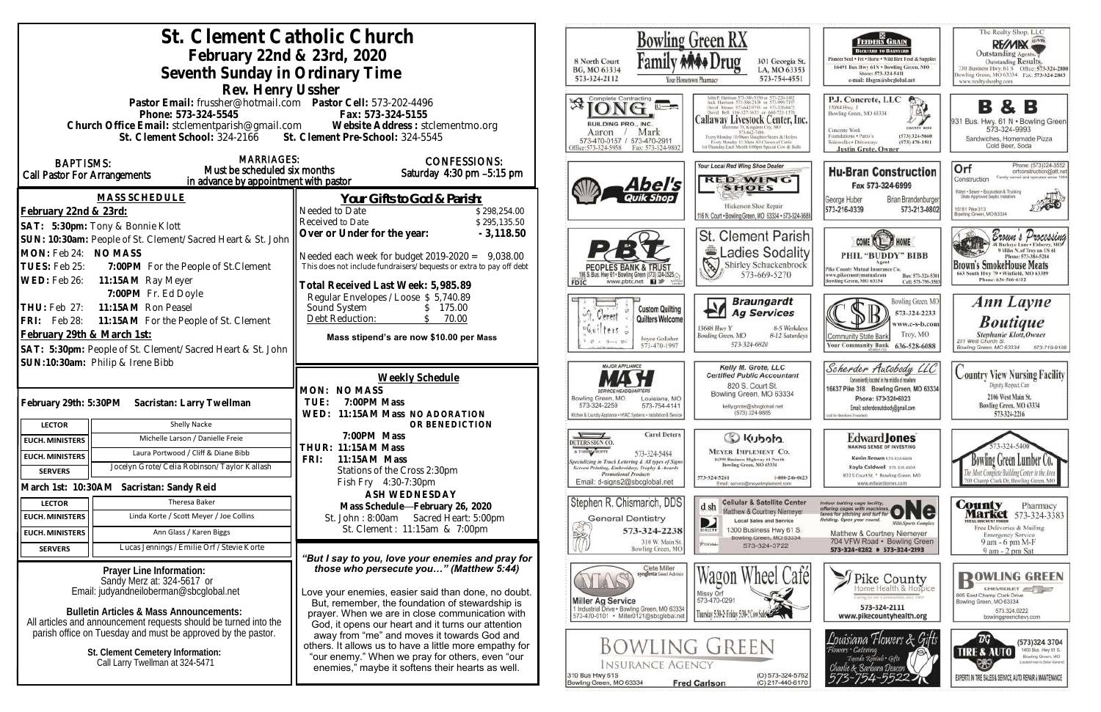| St. Clement Catholic Church                                      |                                                                                        |                                                                                                                                   |                                                                             | <b>Bowling Green RX</b>                           |                                          |                                                                                                               |
|------------------------------------------------------------------|----------------------------------------------------------------------------------------|-----------------------------------------------------------------------------------------------------------------------------------|-----------------------------------------------------------------------------|---------------------------------------------------|------------------------------------------|---------------------------------------------------------------------------------------------------------------|
| February 22nd & 23rd, 2020                                       |                                                                                        |                                                                                                                                   |                                                                             |                                                   |                                          |                                                                                                               |
| Seventh Sunday in Ordinary Time                                  |                                                                                        |                                                                                                                                   |                                                                             |                                                   |                                          | 301 Georgia St.<br>LA, MO 63353                                                                               |
|                                                                  |                                                                                        |                                                                                                                                   | 573-324-2112                                                                | Your Hometown Pharmacy                            |                                          | 573-754-4551                                                                                                  |
|                                                                  | Rev. Henry Ussher                                                                      |                                                                                                                                   | Complete Contracting                                                        |                                                   |                                          |                                                                                                               |
|                                                                  | Pastor Email: frussher@hotmail.com    Pastor Cell: 573-202-4496<br>Phone: 573-324-5545 | Fax: 573-324-5155                                                                                                                 |                                                                             |                                                   |                                          |                                                                                                               |
|                                                                  |                                                                                        | Church Office Email: stclementparish@gmail.com Website Address: stclementmo.org                                                   | BUILDING PRO., INC.                                                         |                                                   |                                          | Callaway Livestock Center, Inc.                                                                               |
|                                                                  | St. Clement School: 324-2166 St. Clement Pre-School: 324-5545                          |                                                                                                                                   | Aaron<br>573-470-0157 / 573-470-2911                                        | Mark                                              |                                          | 573-643-7486<br>Every Monday 10:00am Staughter Steers & Heilen<br>Every Monday 12:30pts All Classes of Cattle |
|                                                                  | <b>MARRIAGES:</b>                                                                      |                                                                                                                                   | ffice:573-324-5958                                                          | Fax: 573-324-9802                                 |                                          | ist Thursday Each Month 6:00pm Special Cow & Bulli                                                            |
| <b>BAPTISMS:</b>                                                 | Must be scheduled six months                                                           | <b>CONFESSIONS:</b><br>Saturday 4:30 pm -5:15 pm                                                                                  |                                                                             |                                                   | Your Local Red Wing Shoe Dealer          |                                                                                                               |
| Call Pastor For Arrangements                                     | in advance by appointment with pastor                                                  |                                                                                                                                   |                                                                             | 4 <i>bel's</i>                                    |                                          | <b>RED WING</b><br><b>SHOES</b>                                                                               |
|                                                                  | <b>MASS SCHEDULE</b>                                                                   | Your Gifts to God & Parish:                                                                                                       |                                                                             |                                                   |                                          |                                                                                                               |
| February 22nd & 23rd:                                            |                                                                                        | Needed to Date<br>\$298,254.00                                                                                                    |                                                                             |                                                   |                                          | Hickerson Shoe Repair<br>116 N. Court . Bowling Green, MO 63334 . 573-324-368                                 |
|                                                                  | SAT: 5:30pm: Tony & Bonnie Klott                                                       | Received to Date<br>\$295,135.50                                                                                                  |                                                                             |                                                   |                                          |                                                                                                               |
|                                                                  | SUN: 10:30am: People of St. Clement/Sacred Heart & St. John                            | Over or Under for the year:<br>$-3,118.50$                                                                                        |                                                                             |                                                   |                                          | <b>St. Clement Parish</b>                                                                                     |
| MON: Feb 24: NO MASS                                             |                                                                                        | Needed each week for budget $2019-2020 = 9,038.00$                                                                                |                                                                             |                                                   |                                          | <b>Ladies Sodality</b>                                                                                        |
| TUES: Feb 25:                                                    | 7:00PM For the People of St. Clement                                                   | This does not include fundraisers/bequests or extra to pay off debt                                                               |                                                                             | 06 S. Bus. Hwy 61 . Bowling Green (573) 324-2525. | 13                                       | Shirley Schuckenbrock<br>573-669-5270                                                                         |
| WED: Feb 26:                                                     | 11:15AM Ray Meyer                                                                      | Fotal Received Last Week: 5,985.89                                                                                                | <b>FDIC</b>                                                                 | www.pbtc.net <b>H</b>                             |                                          |                                                                                                               |
|                                                                  | 7:00PM Fr. Ed Doyle                                                                    | Regular Envelopes / Loose \$ 5,740.89                                                                                             |                                                                             |                                                   |                                          | <b>Braungardt</b>                                                                                             |
| THU: Feb 27:                                                     | 11:15AM Ron Peasel                                                                     | Sound System<br>\$175.00<br>70.00                                                                                                 | Gerent                                                                      | <b>Custom Quilting</b><br>Quilters Welcome        |                                          | <b>Ag Services</b>                                                                                            |
| FRI: Feb 28:                                                     | 11:15AM For the People of St. Clement                                                  | Debt Reduction:                                                                                                                   | $f$ $g$ $f$ $s$                                                             |                                                   | 13688 Huy Y                              | 8-5 Weekdays                                                                                                  |
| February 29th & March 1st:                                       |                                                                                        | Mass stipend's are now \$10.00 per Mass                                                                                           |                                                                             | Joyce Gollaher<br>573-470-1997                    | Bowling Green, MO                        | 8-12 Saturdays<br>573-324-6820                                                                                |
|                                                                  | SAT: 5:30pm: People of St. Clement/Sacred Heart & St. John                             |                                                                                                                                   |                                                                             |                                                   |                                          |                                                                                                               |
|                                                                  | SUN:10:30am: Philip & Irene Bibb                                                       |                                                                                                                                   | <b>MAJOR APPLIANCE</b>                                                      |                                                   |                                          | Kelly M. Grote, LLC<br><b>Certified Public Accountant</b>                                                     |
|                                                                  |                                                                                        | Weekly Schedule<br>MON: NO MASS                                                                                                   |                                                                             |                                                   |                                          | 820 S. Court St.                                                                                              |
| February 29th: 5:30PM<br>Sacristan: Larry Twellman               |                                                                                        | 7:00PM Mass<br>TUE:                                                                                                               | Bowling Green, MO<br>573-324-2259                                           | Louisiana, MO<br>573-754-4141                     |                                          | Bowling Green, MO 63334<br>kelly.grote@sbcglobal.net                                                          |
|                                                                  |                                                                                        | WED: 11:15AM Mass NO ADORATION                                                                                                    | Kitchen & Laundry Appliance . HVAC Systems . Installation & Service         |                                                   |                                          | (573) 324-9885                                                                                                |
| <b>LECTOR</b>                                                    | Shelly Nacke                                                                           | OR BENEDICTION<br>7:00PM Mass                                                                                                     | $\sqrt{ }$                                                                  | <b>Carol Deters</b>                               |                                          |                                                                                                               |
| <b>EUCH. MINISTERS</b>                                           | Michelle Larson / Danielle Freie                                                       | <b>THUR: 11:15AM Mass</b>                                                                                                         | DETERS SIGN CO.<br>A T-SHIRT SHOPPE                                         |                                                   |                                          | C Kubota                                                                                                      |
| <b>EUCH. MINISTERS</b>                                           | Laura Portwood / Cliff & Diane Bibb                                                    | 11:15AM Mass<br>FRI:                                                                                                              | specializing in Truck Lettering & All types of Signs                        | 573-324-5484                                      |                                          | <b>MEYER IMPLEMENT CO.</b><br>16398 Business Highway 61 North<br>Bowling Green, MO 63334                      |
| <b>SERVERS</b>                                                   | Jocelyn Grote/Celia Robinson/Taylor Kallash                                            | Stations of the Cross 2:30pm                                                                                                      | Screen Printing, Embroidery, Trophy & Awards<br><b>Promotional Products</b> |                                                   | 573-324-5261                             | 1-800-246-0623                                                                                                |
|                                                                  | March 1st: 10:30AM Sacristan: Sandy Reid                                               | Fish Fry 4:30-7:30pm<br><b>ASH WEDNESDAY</b>                                                                                      | Email: d-signs2@sbcglobal.net                                               |                                                   |                                          | Email: service@msyerimplement.com                                                                             |
| <b>LECTOR</b>                                                    | Theresa Baker                                                                          | Mass Schedule-February 26, 2020                                                                                                   | Stephen R. Chismarich, DDS                                                  |                                                   | d sh                                     | <b>Cellular &amp; Satellite Center</b>                                                                        |
| <b>EUCH. MINISTERS</b>                                           | Linda Korte / Scott Meyer / Joe Collins                                                | St. John: 8:00am Sacred Heart: 5:00pm                                                                                             |                                                                             | General Dentistry                                 | D                                        | Matthew & Courtney Niemeyer<br><b>Local Sales and Service</b>                                                 |
| <b>EUCH. MINISTERS</b>                                           | Ann Glass / Karen Biggs                                                                | St. Clement: 11:15am & 7:00pm                                                                                                     |                                                                             | 573-324-2238                                      | <b>BIRECTY</b>                           | 1300 Business Hwy 61 S.<br>Bowling Green, MO 63334                                                            |
| <b>SERVERS</b>                                                   | Lucas Jennings / Emilie Orf / Stevie Korte                                             |                                                                                                                                   |                                                                             | 310 W. Main St.<br>Bowling Green, MO              | <b>PUILON</b>                            | 573-324-3722                                                                                                  |
|                                                                  |                                                                                        | "But I say to you, love your enemies and pray for<br>those who persecute you" (Matthew 5:44)                                      |                                                                             | Clete Miller                                      |                                          |                                                                                                               |
| Prayer Line Information:<br>Sandy Merz at: 324-5617 or           |                                                                                        |                                                                                                                                   |                                                                             | syngenta Soud Advisor                             |                                          | Café                                                                                                          |
| Email: judyandneiloberman@sbcglobal.net                          |                                                                                        | Love your enemies, easier said than done, no doubt.                                                                               |                                                                             |                                                   | Missy Orf<br>573-470-0291                |                                                                                                               |
| Bulletin Articles & Mass Announcements:                          |                                                                                        | But, remember, the foundation of stewardship is<br>prayer. When we are in close communication with                                | <b>Miller Ag Service</b>                                                    | 1 Industrial Drive . Bowling Green, MO 63334      | Thursday 5:30-2: Friday 5:30-2 Cow Sales |                                                                                                               |
| All articles and announcement requests should be turned into the |                                                                                        | God, it opens our heart and it turns our attention                                                                                |                                                                             | 573-470-0101 · Miller0121@sbcglobal.net           |                                          |                                                                                                               |
| parish office on Tuesday and must be approved by the pastor.     |                                                                                        | away from "me" and moves it towards God and                                                                                       |                                                                             |                                                   |                                          |                                                                                                               |
| St. Clement Cemetery Information:                                |                                                                                        | <b>BOWLING GREEN</b><br>others. It allows us to have a little more empathy for<br>"our enemy." When we pray for others, even "our |                                                                             |                                                   |                                          |                                                                                                               |
| Call Larry Twellman at 324-5471                                  |                                                                                        | enemies," maybe it softens their hearts as well.                                                                                  |                                                                             | <b>INSURANCE AGENCY</b>                           |                                          |                                                                                                               |
|                                                                  |                                                                                        |                                                                                                                                   | 310 Bus Hwy 61S<br>Bowling Green, MO 63334                                  |                                                   | <b>Fred Carlson</b>                      | (O) 573-324-5762<br>(C) 217-440-6170                                                                          |